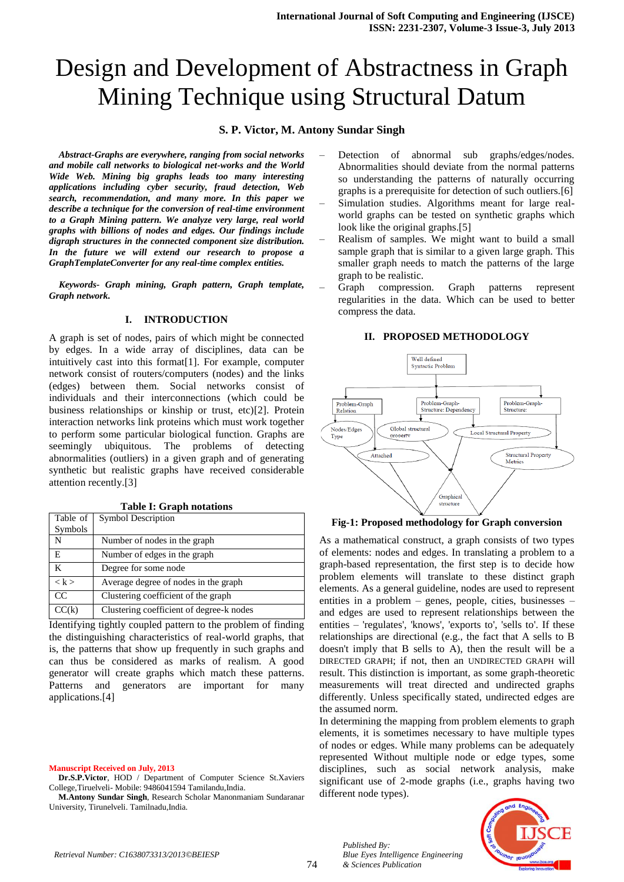# Design and Development of Abstractness in Graph Mining Technique using Structural Datum

### **S. P. Victor, M. Antony Sundar Singh**

*Abstract-Graphs are everywhere, ranging from social networks and mobile call networks to biological net-works and the World Wide Web. Mining big graphs leads too many interesting applications including cyber security, fraud detection, Web search, recommendation, and many more. In this paper we describe a technique for the conversion of real-time environment to a Graph Mining pattern. We analyze very large, real world graphs with billions of nodes and edges. Our findings include digraph structures in the connected component size distribution. In the future we will extend our research to propose a GraphTemplateConverter for any real-time complex entities.* 

*Keywords- Graph mining, Graph pattern, Graph template, Graph network.*

#### **I. INTRODUCTION**

A graph is set of nodes, pairs of which might be connected by edges. In a wide array of disciplines, data can be intuitively cast into this format[1]. For example, computer network consist of routers/computers (nodes) and the links (edges) between them. Social networks consist of individuals and their interconnections (which could be business relationships or kinship or trust, etc)[2]. Protein interaction networks link proteins which must work together to perform some particular biological function. Graphs are seemingly ubiquitous. The problems of detecting abnormalities (outliers) in a given graph and of generating synthetic but realistic graphs have received considerable attention recently.[3]

**Table I: Graph notations**

| Table of | <b>Symbol Description</b>                |  |
|----------|------------------------------------------|--|
| Symbols  |                                          |  |
| N        | Number of nodes in the graph             |  |
| E        | Number of edges in the graph             |  |
| K        | Degree for some node                     |  |
| < k >    | Average degree of nodes in the graph     |  |
| CC       | Clustering coefficient of the graph      |  |
| CC(k)    | Clustering coefficient of degree-k nodes |  |

Identifying tightly coupled pattern to the problem of finding the distinguishing characteristics of real-world graphs, that is, the patterns that show up frequently in such graphs and can thus be considered as marks of realism. A good generator will create graphs which match these patterns. Patterns and generators are important for many applications.[4]

#### **Manuscript Received on July, 2013**

**Dr.S.P.Victor**, HOD / Department of Computer Science St.Xaviers College,Tiruelveli- Mobile: 9486041594 Tamilandu,India.

**M.Antony Sundar Singh**, Research Scholar Manonmaniam Sundaranar University, Tirunelveli. Tamilnadu,India.

- Detection of abnormal sub graphs/edges/nodes. Abnormalities should deviate from the normal patterns so understanding the patterns of naturally occurring graphs is a prerequisite for detection of such outliers.[6]
- Simulation studies. Algorithms meant for large realworld graphs can be tested on synthetic graphs which look like the original graphs.[5]
- Realism of samples. We might want to build a small sample graph that is similar to a given large graph. This smaller graph needs to match the patterns of the large graph to be realistic.
- Graph compression. Graph patterns represent regularities in the data. Which can be used to better compress the data.

#### **II. PROPOSED METHODOLOGY**



**Fig-1: Proposed methodology for Graph conversion**

As a mathematical construct, a graph consists of two types of elements: nodes and edges. In translating a problem to a graph-based representation, the first step is to decide how problem elements will translate to these distinct graph elements. As a general guideline, nodes are used to represent entities in a problem – genes, people, cities, businesses – and edges are used to represent relationships between the entities – 'regulates', 'knows', 'exports to', 'sells to'. If these relationships are directional (e.g., the fact that A sells to B doesn't imply that B sells to A), then the result will be a DIRECTED GRAPH; if not, then an UNDIRECTED GRAPH will result. This distinction is important, as some graph-theoretic measurements will treat directed and undirected graphs differently. Unless specifically stated, undirected edges are the assumed norm.

In determining the mapping from problem elements to graph elements, it is sometimes necessary to have multiple types of nodes or edges. While many problems can be adequately represented Without multiple node or edge types, some disciplines, such as social network analysis, make significant use of 2-mode graphs (i.e., graphs having two different node types).



*Published By:*

*& Sciences Publication* 

*Blue Eyes Intelligence Engineering*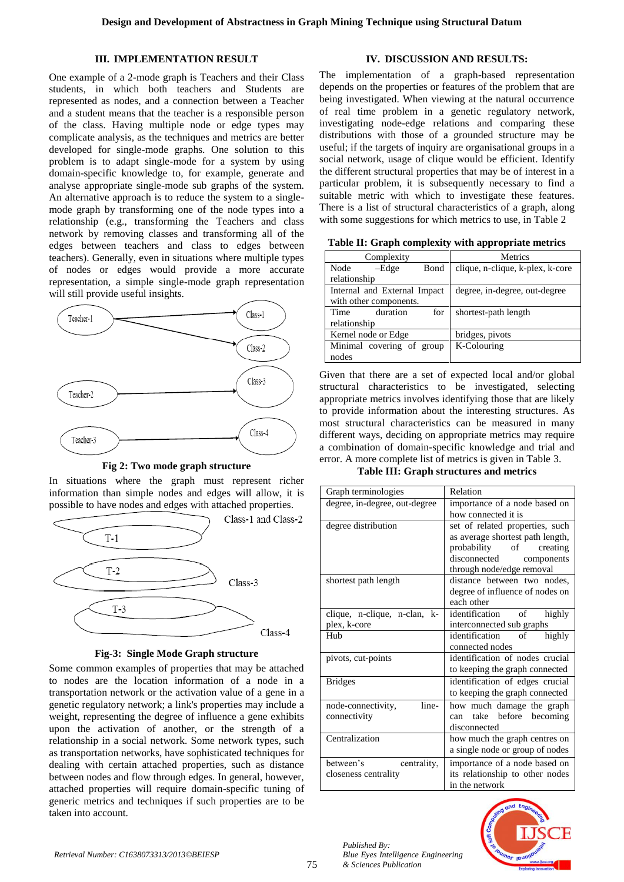#### **III. IMPLEMENTATION RESULT**

One example of a 2-mode graph is Teachers and their Class students, in which both teachers and Students are represented as nodes, and a connection between a Teacher and a student means that the teacher is a responsible person of the class. Having multiple node or edge types may complicate analysis, as the techniques and metrics are better developed for single-mode graphs. One solution to this problem is to adapt single-mode for a system by using domain-specific knowledge to, for example, generate and analyse appropriate single-mode sub graphs of the system. An alternative approach is to reduce the system to a singlemode graph by transforming one of the node types into a relationship (e.g., transforming the Teachers and class network by removing classes and transforming all of the edges between teachers and class to edges between teachers). Generally, even in situations where multiple types of nodes or edges would provide a more accurate representation, a simple single-mode graph representation will still provide useful insights.



**Fig 2: Two mode graph structure**

In situations where the graph must represent richer information than simple nodes and edges will allow, it is possible to have nodes and edges with attached properties.



**Fig-3: Single Mode Graph structure**

Some common examples of properties that may be attached to nodes are the location information of a node in a transportation network or the activation value of a gene in a genetic regulatory network; a link's properties may include a weight, representing the degree of influence a gene exhibits upon the activation of another, or the strength of a relationship in a social network. Some network types, such as transportation networks, have sophisticated techniques for dealing with certain attached properties, such as distance between nodes and flow through edges. In general, however, attached properties will require domain-specific tuning of generic metrics and techniques if such properties are to be taken into account.

## **IV. DISCUSSION AND RESULTS:**

The implementation of a graph-based representation depends on the properties or features of the problem that are being investigated. When viewing at the natural occurrence of real time problem in a genetic regulatory network, investigating node-edge relations and comparing these distributions with those of a grounded structure may be useful; if the targets of inquiry are organisational groups in a social network, usage of clique would be efficient. Identify the different structural properties that may be of interest in a particular problem, it is subsequently necessary to find a suitable metric with which to investigate these features. There is a list of structural characteristics of a graph, along with some suggestions for which metrics to use, in Table 2

**Table II: Graph complexity with appropriate metrics**

| Complexity                   | <b>Metrics</b>                   |
|------------------------------|----------------------------------|
| Node<br>-Edge<br>Bond        | clique, n-clique, k-plex, k-core |
| relationship                 |                                  |
| Internal and External Impact | degree, in-degree, out-degree    |
| with other components.       |                                  |
| duration<br>Time<br>for      | shortest-path length             |
| relationship                 |                                  |
| Kernel node or Edge          | bridges, pivots                  |
| Minimal covering of group    | K-Colouring                      |
| nodes                        |                                  |

Given that there are a set of expected local and/or global structural characteristics to be investigated, selecting appropriate metrics involves identifying those that are likely to provide information about the interesting structures. As most structural characteristics can be measured in many different ways, deciding on appropriate metrics may require a combination of domain-specific knowledge and trial and error. A more complete list of metrics is given in Table 3.

**Table III: Graph structures and metrics**

| Graph terminologies           | Relation                               |  |  |
|-------------------------------|----------------------------------------|--|--|
| degree, in-degree, out-degree | importance of a node based on          |  |  |
|                               | how connected it is                    |  |  |
| degree distribution           | set of related properties, such        |  |  |
|                               | as average shortest path length,       |  |  |
|                               | probability of creating                |  |  |
|                               | disconnected<br>components             |  |  |
|                               | through node/edge removal              |  |  |
| shortest path length          | distance between two nodes,            |  |  |
|                               | degree of influence of nodes on        |  |  |
|                               | each other                             |  |  |
| clique, n-clique, n-clan, k-  | identification of<br>highly            |  |  |
| plex, k-core                  | interconnected sub graphs              |  |  |
| Hub                           | highly<br>identification<br>$\circ$ of |  |  |
|                               | connected nodes                        |  |  |
| pivots, cut-points            | identification of nodes crucial        |  |  |
|                               | to keeping the graph connected         |  |  |
| <b>Bridges</b>                | identification of edges crucial        |  |  |
|                               | to keeping the graph connected         |  |  |
| line-<br>node-connectivity,   | how much damage the graph              |  |  |
| connectivity                  | take before becoming<br>can            |  |  |
|                               | disconnected                           |  |  |
| Centralization                | how much the graph centres on          |  |  |
|                               | a single node or group of nodes        |  |  |
| between's<br>centrality,      | importance of a node based on          |  |  |
| closeness centrality          | its relationship to other nodes        |  |  |
|                               | in the network                         |  |  |



*Published By:*

*& Sciences Publication* 

*Blue Eyes Intelligence Engineering*